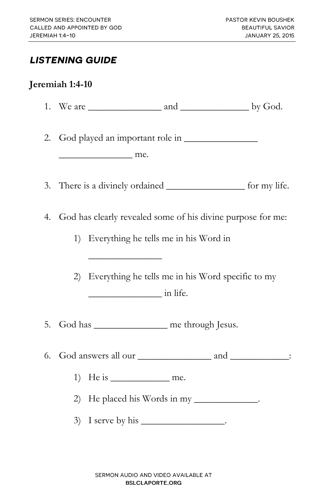#### **LISTENING GUIDE**

#### **Jeremiah 1:4-10**

| 2. | $\sim$ me.                                                  |                                                                                                                                                                                                                                                                                                                                                                                                                                                                           |  |
|----|-------------------------------------------------------------|---------------------------------------------------------------------------------------------------------------------------------------------------------------------------------------------------------------------------------------------------------------------------------------------------------------------------------------------------------------------------------------------------------------------------------------------------------------------------|--|
|    |                                                             | 3. There is a divinely ordained ______________________ for my life.                                                                                                                                                                                                                                                                                                                                                                                                       |  |
| 4. | God has clearly revealed some of his divine purpose for me: |                                                                                                                                                                                                                                                                                                                                                                                                                                                                           |  |
|    | 1)                                                          | Everything he tells me in his Word in                                                                                                                                                                                                                                                                                                                                                                                                                                     |  |
|    | 2)                                                          | Everything he tells me in his Word specific to my<br>$\frac{1}{\sqrt{1-\frac{1}{2}}\sqrt{1-\frac{1}{2}}\sqrt{1-\frac{1}{2}}\sqrt{1-\frac{1}{2}}\sqrt{1-\frac{1}{2}}\sqrt{1-\frac{1}{2}}\sqrt{1-\frac{1}{2}}\sqrt{1-\frac{1}{2}}\sqrt{1-\frac{1}{2}}\sqrt{1-\frac{1}{2}}\sqrt{1-\frac{1}{2}}\sqrt{1-\frac{1}{2}}\sqrt{1-\frac{1}{2}}\sqrt{1-\frac{1}{2}}\sqrt{1-\frac{1}{2}}\sqrt{1-\frac{1}{2}}\sqrt{1-\frac{1}{2}}\sqrt{1-\frac{1}{2}}\sqrt{1-\frac{1}{2}}\sqrt{1-\frac$ |  |
| 5. | God has _________________ me through Jesus.                 |                                                                                                                                                                                                                                                                                                                                                                                                                                                                           |  |
| 6. |                                                             |                                                                                                                                                                                                                                                                                                                                                                                                                                                                           |  |
|    | 1)                                                          |                                                                                                                                                                                                                                                                                                                                                                                                                                                                           |  |
|    |                                                             | 2) He placed his Words in my _____________.                                                                                                                                                                                                                                                                                                                                                                                                                               |  |
|    |                                                             | 3) I serve by his $\_\_\_\_\_\_\_\_\_\_\_\_\_\_\_\_\_\_\_\_\_\_$ .                                                                                                                                                                                                                                                                                                                                                                                                        |  |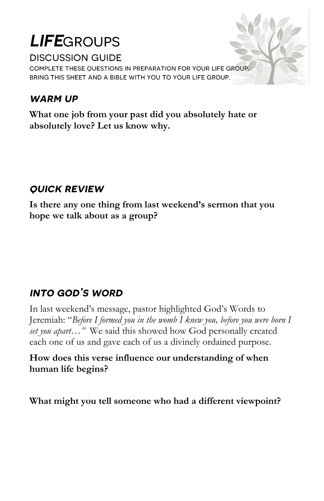# **LIFE**GROUPS

**DISCUSSION GUIDE** 

COMPLETE THESE OUESTIONS IN PREPARATION FOR YOUR LIFE GROUP. BRING THIS SHEET AND A BIBLE WITH YOU TO YOUR LIFE GROUP.

### **WARM UP**

**What one job from your past did you absolutely hate or absolutely love? Let us know why.**

### **OUICK REVIEW**

**Is there any one thing from last weekend's sermon that you hope we talk about as a group?** 

# **INTO GOD'S WORD**

In last weekend's message, pastor highlighted God's Words to Jeremiah: "*Before I formed you in the womb I knew you, before you were born I set you apart…"* We said this showed how God personally created each one of us and gave each of us a divinely ordained purpose.

#### **How does this verse influence our understanding of when human life begins?**

**What might you tell someone who had a different viewpoint?**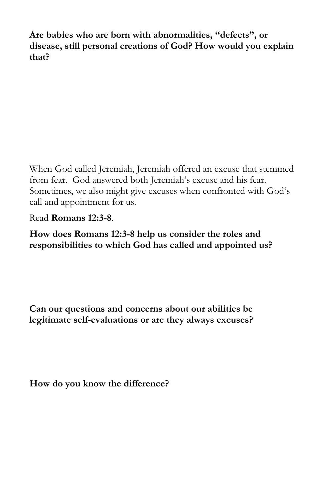**Are babies who are born with abnormalities, "defects", or disease, still personal creations of God? How would you explain that?** 

When God called Jeremiah, Jeremiah offered an excuse that stemmed from fear. God answered both Jeremiah's excuse and his fear. Sometimes, we also might give excuses when confronted with God's call and appointment for us.

Read **Romans 12:3-8**.

**How does Romans 12:3-8 help us consider the roles and responsibilities to which God has called and appointed us?**

**Can our questions and concerns about our abilities be legitimate self-evaluations or are they always excuses?** 

**How do you know the difference?**